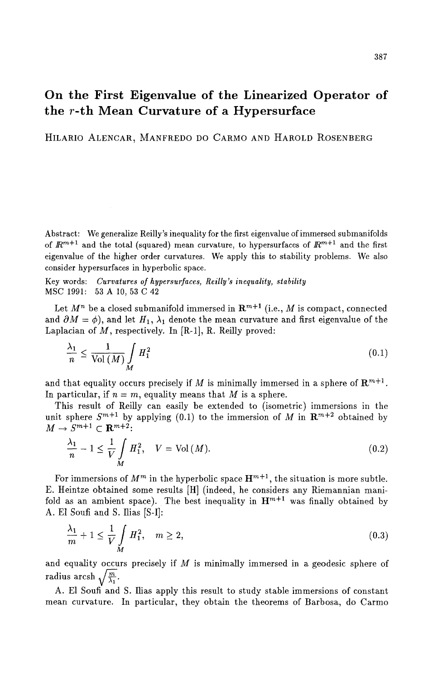# **On the First Eigenvalue of the Linearized Operator of the r-th Mean Curvature of a Hypersurface**

HILARIO ALENCAR, MANFREDO DO CARMO AND HAROLD ROSENBERG

Abstract: We generalize Reilly's inequality for the first eigenvalue of immersed submanifolds of  $\mathbb{R}^{m+1}$  and the total (squared) mean curvature, to hypersurfaces of  $\mathbb{R}^{m+1}$  and the first eigenvalue of the higher order curvatures. We apply this to stability problems. We also consider hypersurfaces in hyperbolic space.

Key words: *Curvatures of hypersurfaces, Reilly's inequality, stability*  MSC 1991: 53 A 10, 53 C 42

Let  $M^n$  be a closed submanifold immersed in  $\mathbb{R}^{m+1}$  (i.e., M is compact, connected and  $\partial M = \phi$ ), and let  $H_1$ ,  $\lambda_1$  denote the mean curvature and first eigenvalue of the Laplacian of  $M$ , respectively. In [R-1], R. Reilly proved:

$$
\frac{\lambda_1}{n} \le \frac{1}{\text{Vol}(M)} \int_M H_1^2 \tag{0.1}
$$

and that equality occurs precisely if M is minimally immersed in a sphere of  $\mathbb{R}^{m+1}$ . In particular, if  $n = m$ , equality means that M is a sphere.

This result of Reilly can easily be extended to (isometric) immersions in the unit sphere  $S^{m+1}$  by applying (0.1) to the immersion of M in  $\mathbb{R}^{m+2}$  obtained by  $M \to S^{m+1} \subset \mathbb{R}^{m+2}$ :

$$
M \to S^{m+1} \subset \mathbf{R}^{m+2};
$$
  
\n
$$
\frac{\lambda_1}{n} - 1 \le \frac{1}{V} \int_{M} H_1^2, \quad V = \text{Vol}(M).
$$
 (0.2)

For immersions of  $M^m$  in the hyperbolic space  $\mathbf{H}^{m+1}$ , the situation is more subtle. E. Heintze obtained some results [HI (indeed, he considers any Riemannian manifold as an ambient space). The best inequality in  $H^{m+1}$  was finally obtained by A. E1 Soufi and S. Ilias [S-I]:

$$
\frac{\lambda_1}{m} + 1 \le \frac{1}{V} \int_M H_1^2, \quad m \ge 2,
$$
\n
$$
(0.3)
$$

and equality occurs precisely if  $M$  is minimally immersed in a geodesic sphere of radius arcsh  $\sqrt{\frac{m}{\lambda_1}}$ .

A. E1 Soufi and S. Ilias apply this result to study stable immersions of constant mean curvature. In particular, they obtain the theorems of Barbosa, do Carmo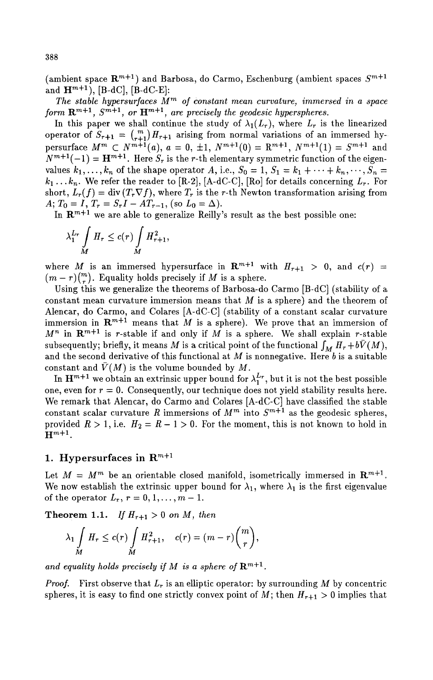(ambient space  $\mathbb{R}^{m+1}$ ) and Barbosa, do Carmo, Eschenburg (ambient spaces  $S^{m+1}$ and  $H^{m+1}$ ), [B-dC], [B-dC-E]:

The stable hypersurfaces  $M^m$  of constant mean curvature, immersed in a space *form*  $\mathbb{R}^{m+1}$ ,  $S^{m+1}$ , *or*  $\mathbf{H}^{m+1}$ , *are precisely the geodesic hyperspheres.* 

In this paper we shall continue the study of  $\lambda_1(L_r)$ , where  $L_r$  is the linearized operator of  $S_{r+1} = \binom{m}{r+1}H_{r+1}$  arising from normal variations of an immersed hypersurface  $M^m \,\subset N^{m+1}(a)$ ,  $a = 0, \pm 1, N^{m+1}(0) = \mathbb{R}^{m+1}, N^{m+1}(1) = S^{m+1}$  and  $N^{m+1}(-1) = H^{m+1}$ . Here  $S_r$  is the r-th elementary symmetric function of the eigenvalues  $k_1, \ldots, k_n$  of the shape operator A, i.e.,  $S_0 = 1, S_1 = k_1 + \cdots + k_n, \ldots, S_n =$  $k_1 \ldots k_n$ . We refer the reader to [R-2], [A-dC-C], [Ro] for details concerning  $L_r$ . For short,  $L_r(f) = \text{div} (T_r \nabla f)$ , where  $T_r$  is the r-th Newton transformation arising from *A;*  $T_0 = I$ ,  $T_r = S_r I - A T_{r-1}$ , (so  $L_0 = \Delta$ ).

In  $\mathbb{R}^{m+1}$  we are able to generalize Reilly's result as the best possible one:

$$
\lambda_1^{L_r} \int\limits_M H_r \le c(r) \int\limits_M H_{r+1}^2,
$$

where M is an immersed hypersurface in  $\mathbb{R}^{m+1}$  with  $H_{r+1} > 0$ , and  $c(r) =$  $(m-r)\binom{m}{r}$ . Equality holds precisely if M is a sphere.

Using this we generalize the theorems of Barbosa-do Carmo [B-dC] (stability of a constant mean curvature immersion means that  $M$  is a sphere) and the theorem of Alencar, do Carmo, and Colares [A-dC-C] (stability of a constant scalar curvature immersion in  $\mathbb{R}^{m+1}$  means that M is a sphere). We prove that an immersion of  $M^n$  in  $\mathbf{R}^{m+1}$  is r-stable if and only if  $M$  is a sphere. We shall explain r-stable subsequently; briefly, it means M is a critical point of the functional  $\int_M H_r + b\bar{V}(M)$ , and the second derivative of this functional at  $M$  is nonnegative. Here  $b$  is a suitable constant and  $\bar{V}(M)$  is the volume bounded by M.

In  $H^{m+1}$  we obtain an extrinsic upper bound for  $\lambda_1^{L_r}$ , but it is not the best possible one, even for  $r = 0$ . Consequently, our technique does not yield stability results here. We remark that Alencar, do Carmo and Colares [A-dC-C] have classified the stable constant scalar curvature R immersions of  $M^m$  into  $S^{m+1}$  as the geodesic spheres, provided  $R > 1$ , i.e.  $H_2 = R - 1 > 0$ . For the moment, this is not known to hold in  $H^{m+1}$ .

### 1. Hypersurfaces in  $\mathbb{R}^{m+1}$

Let  $M = M^m$  be an orientable closed manifold, isometrically immersed in  $\mathbb{R}^{m+1}$ . We now establish the extrinsic upper bound for  $\lambda_1$ , where  $\lambda_1$  is the first eigenvalue of the operator  $L_r$ ,  $r = 0, 1, \ldots, m - 1$ .

**Theorem 1.1.** *If*  $H_{r+1} > 0$  *on M*, *then* 

$$
\lambda_1 \int\limits_M H_r \leq c(r) \int\limits_M H_{r+1}^2, \quad c(r) = (m-r) \binom{m}{r},
$$

and equality holds precisely if M is a sphere of  $\mathbb{R}^{m+1}$ .

*Proof.* First observe that  $L_r$  is an elliptic operator: by surrounding M by concentric spheres, it is easy to find one strictly convex point of M; then  $H_{r+1} > 0$  implies that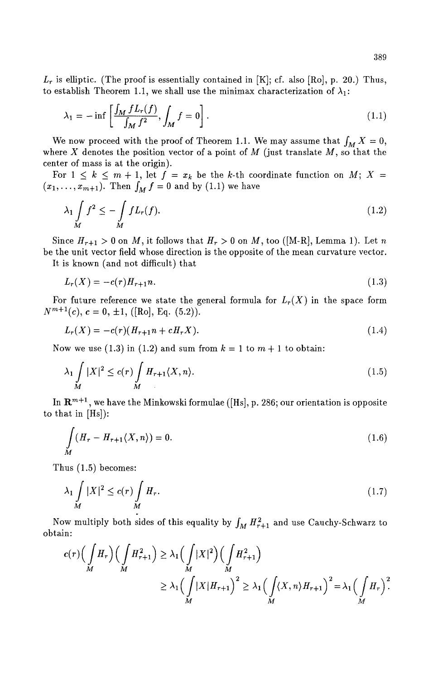$L_r$  is elliptic. (The proof is essentially contained in [K]; cf. also [Ro], p. 20.) Thus, to establish Theorem 1.1, we shall use the minimax characterization of  $\lambda_1$ :

$$
\lambda_1 = -\inf \left[ \frac{\int_M f L_r(f)}{\int_M f^2}, \int_M f = 0 \right]. \tag{1.1}
$$

We now proceed with the proof of Theorem 1.1. We may assume that  $\int_M X = 0$ , where X denotes the position vector of a point of  $M$  (just translate  $M$ , so that the center of mass is at the origin).

For  $1 \leq k \leq m + 1$ , let  $f = x_k$  be the k-th coordinate function on M; X =  $(x_1,\ldots,x_{m+1})$ . Then  $\int_M f = 0$  and by (1.1) we have

$$
\lambda_1 \int_M f^2 \le -\int_M f L_r(f). \tag{1.2}
$$

Since  $H_{r+1} > 0$  on M, it follows that  $H_r > 0$  on M, too ([M-R], Lemma 1). Let n be the unit vector field whose direction is the opposite of the mean curvature vector.

It is known (and not difficult) that

$$
L_r(X) = -c(r)H_{r+1}n.\tag{1.3}
$$

For future reference we state the general formula for  $L_r(X)$  in the space form  $N^{m+1}(c)$ ,  $c = 0, \pm 1$ , ([Ro], Eq. (5.2)).

$$
L_r(X) = -c(r)(H_{r+1}n + cH_rX). \tag{1.4}
$$

Now we use (1.3) in (1.2) and sum from  $k = 1$  to  $m + 1$  to obtain:

$$
\lambda_1 \int\limits_M |X|^2 \le c(r) \int\limits_M H_{r+1} \langle X, n \rangle. \tag{1.5}
$$

In  $\mathbb{R}^{m+1}$ , we have the Minkowski formulae ([Hs], p. 286; our orientation is opposite to that in [Hs]):

$$
\int_{M} (H_{r} - H_{r+1} \langle X, n \rangle) = 0.
$$
\n(1.6)

Thus (1.5) becomes:

$$
\lambda_1 \int\limits_M |X|^2 \le c(r) \int\limits_M H_r. \tag{1.7}
$$

Now multiply both sides of this equality by  $\int_M H_{r+1}^2$  and use Cauchy-Schwarz to obtain:

$$
c(r)\left(\int\limits_M H_r\right)\left(\int\limits_M H_{r+1}^2\right) \geq \lambda_1\left(\int\limits_M |X|^2\right)\left(\int\limits_M H_{r+1}^2\right)
$$
  
 
$$
\geq \lambda_1\left(\int\limits_M |X|H_{r+1}\right)^2 \geq \lambda_1\left(\int\limits_M \langle X, n \rangle H_{r+1}\right)^2 = \lambda_1\left(\int\limits_M H_r\right)^2.
$$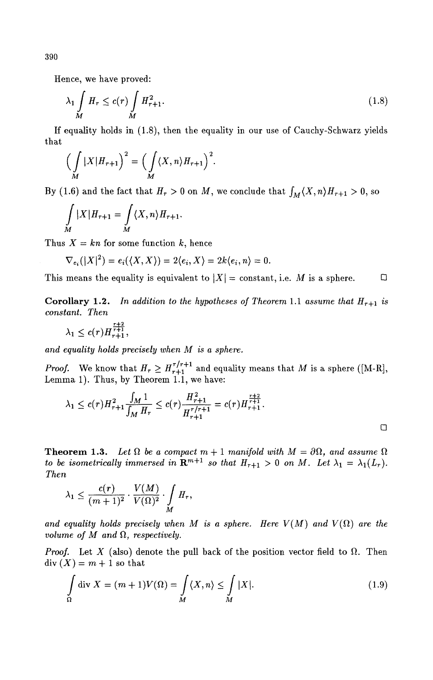Hence, we have proved:

$$
\lambda_1 \int\limits_M H_r \le c(r) \int\limits_M H_{r+1}^2. \tag{1.8}
$$

If equality holds in (1.8), then the equality in our use of Cauchy-Schwarz yields that

$$
\Big(\int\limits_M |X| H_{r+1}\Big)^2 = \Big(\int\limits_M \langle X, n \rangle H_{r+1}\Big)^2.
$$

By (1.6) and the fact that  $H_r > 0$  on M, we conclude that  $\int_M \langle X, n \rangle H_{r+1} > 0$ , so

$$
\int\limits_M |X| H_{r+1} = \int\limits_M \langle X, n \rangle H_{r+1}.
$$

Thus  $X = kn$  for some function k, hence

$$
\nabla_{e_i}(|X|^2)=e_i(\langle X,X\rangle)=2\langle e_i,X\rangle=2k\langle e_i,n\rangle=0.
$$

This means the equality is equivalent to  $|X| = \text{constant}$ , i.e. M is a sphere.

**Corollary 1.2.** In addition to the hypotheses of Theorem 1.1 assume that  $H_{r+1}$  is *constant. Then* 

$$
\lambda_1 \leq c(r) H_{r+1}^{\frac{r+2}{r+1}},
$$

*and equality holds precisely when M is a sphere.* 

*Proof.* We know that  $H_r \geq H_{r+1}^{r/r+1}$  and equality means that M is a sphere ([M-R], Lemma 1). Thus, by Theorem 1.1, we have:

$$
\lambda_1 \le c(r)H_{r+1}^2 \frac{\int_M 1}{\int_M H_r} \le c(r) \frac{H_{r+1}^2}{H_{r+1}^{r/r+1}} = c(r)H_{r+1}^{\frac{r+2}{r+1}}.
$$

**Theorem 1.3.** Let  $\Omega$  be a compact  $m + 1$  manifold with  $M = \partial \Omega$ , and assume  $\Omega$ *to be isometrically immersed in*  $\mathbf{R}^{m+1}$  *so that*  $H_{r+1} > 0$  *on M.* Let  $\lambda_1 = \lambda_1(L_r)$ . *Then* 

$$
\lambda_1 \leq \frac{c(r)}{(m+1)^2} \cdot \frac{V(M)}{V(\Omega)^2} \cdot \int\limits_M H_r,
$$

and equality holds precisely when M is a sphere. Here  $V(M)$  and  $V(\Omega)$  are the *volume of M and*  $\Omega$ *, respectively.* 

*Proof.* Let X (also) denote the pull back of the position vector field to  $\Omega$ . Then  $\text{div}(X) = m + 1$  so that

$$
\int_{\Omega} \operatorname{div} X = (m+1)V(\Omega) = \int_{M} \langle X, n \rangle \le \int_{M} |X|. \tag{1.9}
$$

390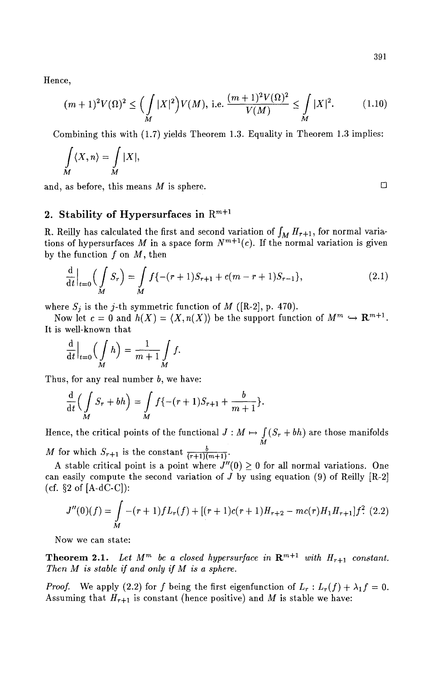Hence,

$$
(m+1)^2 V(\Omega)^2 \le \left(\int_M |X|^2\right) V(M), \text{ i.e. } \frac{(m+1)^2 V(\Omega)^2}{V(M)} \le \int_M |X|^2. \tag{1.10}
$$

Combining this with (1.7) yields Theorem 1.3. Equality in Theorem 1.3 implies:

$$
\int\limits_M \langle X, n \rangle = \int\limits_M |X|,
$$

and, as before, this means  $M$  is sphere.  $\Box$ 

# 2. Stability of Hypersurfaces in  $\mathbb{R}^{m+1}$

R. Reilly has calculated the first and second variation of  $\int_M H_{r+1}$ , for normal variations of hypersurfaces M in a space form  $N^{m+1}(c)$ . If the normal variation is given by the function  $f$  on  $M$ , then

$$
\frac{\mathrm{d}}{\mathrm{d}t}\Big|_{t=0} \Big(\int\limits_M S_r\Big) = \int\limits_M f\{-(r+1)S_{r+1} + c(m-r+1)S_{r-1}\},\tag{2.1}
$$

where  $S_i$  is the j-th symmetric function of M ([R-2], p. 470).

Now let  $c = 0$  and  $h(X) = \langle X, n(X) \rangle$  be the support function of  $M^m \hookrightarrow \mathbb{R}^{m+1}$ . It is well-known that

$$
\frac{\mathrm{d}}{\mathrm{d}t}\Big|_{t=0}\Big(\int\limits_M h\Big)=\frac{1}{m+1}\int\limits_M f.
$$

Thus, for any real number  $b$ , we have:

$$
\frac{\mathrm{d}}{\mathrm{d}t}\Big(\int\limits_{M} S_r + bh\Big) = \int\limits_{M} f\{-(r+1)S_{r+1} + \frac{b}{m+1}\}.
$$

Hence, the critical points of the functional  $J : M \mapsto \int (S_r + bh)$  are those manifolds M

M for which  $S_{r+1}$  is the constant  $\frac{b}{(r+1)(m+1)}$ .

A stable critical point is a point where  $J''(0) \geq 0$  for all normal variations. One can easily compute the second variation of  $J$  by using equation (9) of Reilly [R-2] (cf.  $\S 2$  of [A-dC-C]):

$$
J''(0)(f) = \int_M -(r+1)fL_r(f) + [(r+1)c(r+1)H_{r+2} - mc(r)H_1H_{r+1}]f^2
$$
 (2.2)

Now we can state:

**Theorem 2.1.** Let  $M^m$  be a closed hypersurface in  $\mathbb{R}^{m+1}$  with  $H_{r+1}$  constant. *Then M is stable if and only if M is a sphere.* 

*Proof.* We apply (2.2) for f being the first eigenfunction of  $L_r : L_r(f) + \lambda_1 f = 0$ . Assuming that  $H_{r+1}$  is constant (hence positive) and M is stable we have: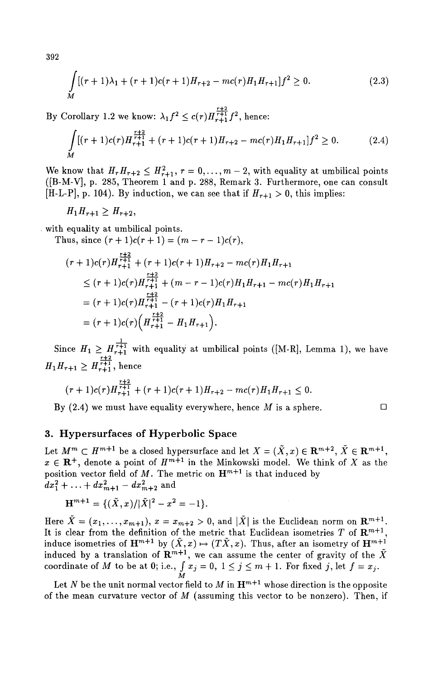392

$$
\int_{M} [(r+1)\lambda_{1} + (r+1)c(r+1)H_{r+2} - mc(r)H_{1}H_{r+1}]f^{2} \ge 0.
$$
\n(2.3)

*~+2*  By Corollary 1.2 we know:  $\lambda_1 f^2 \leq c(r) H_{r+1}^{r+1} f^2$ , hence:

$$
\int_{M} [(r+1)c(r)H_{r+1}^{\frac{r+2}{r+1}} + (r+1)c(r+1)H_{r+2} - mc(r)H_1H_{r+1}]f^2 \ge 0.
$$
\n(2.4)

We know that  $H_r H_{r+2} \leq H_{r+1}^2$ ,  $r = 0, \ldots, m-2$ , with equality at umbilical points ([B-M-V], p. 285, Theorem 1 and p. 288, Remark 3. Furthermore, one can consult [H-L-P], p. 104). By induction, we can see that if  $H_{r+1} > 0$ , this implies:

$$
H_1H_{r+1}\geq H_{r+2},
$$

. with equality at umbilical points.

Thus, since  $(r + 1)c(r + 1) = (m - r - 1)c(r)$ ,

$$
(r+1)c(r)H_{r+1}^{\frac{r+2}{r+1}} + (r+1)c(r+1)H_{r+2} - mc(r)H_1H_{r+1}
$$
  
\n
$$
\leq (r+1)c(r)H_{r+1}^{\frac{r+2}{r+1}} + (m-r-1)c(r)H_1H_{r+1} - mc(r)H_1H_{r+1}
$$
  
\n
$$
= (r+1)c(r)H_{r+1}^{\frac{r+2}{r+1}} - (r+1)c(r)H_1H_{r+1}
$$
  
\n
$$
= (r+1)c(r)\Big(H_{r+1}^{\frac{r+2}{r+1}} - H_1H_{r+1}\Big).
$$

 $\perp$ . Since  $H_1 \geq H_{r+1}^{r+1}$  with equality at umbilical points ([M-R], Lemma 1), we have  $H_1H_{r+1} \geq H_{r+1}^{r+1}$ , hence

$$
(r+1)c(r)H_{r+1}^{\frac{r+2}{r+1}}+(r+1)c(r+1)H_{r+2}-mc(r)H_1H_{r+1}\leq 0.
$$

By (2.4) we must have equality everywhere, hence M is a sphere.  $\Box$ 

# 3. Hypersurfaces of Hyperbolic Space

Let  $M^m \subset H^{m+1}$  be a closed hypersurface and let  $X = (\tilde{X}, x) \in \mathbb{R}^{m+2}, \tilde{X} \in \mathbb{R}^{m+1}$ ,  $x \in \mathbb{R}^+$ , denote a point of  $H^{m+1}$  in the Minkowski model. We think of X as the position vector field of  $M$ . The metric on  $\mathbf{H}^{m+1}$  is that induced by  $dx_1^2 + \ldots + dx_{m+1}^2 - dx_{m+2}^2$  and

$$
\mathbf{H}^{m+1} = \{ (\tilde{X}, x) / |\tilde{X}|^2 - x^2 = -1 \}.
$$

Here  $\tilde{X} = (x_1, \ldots, x_{m+1}), x = x_{m+2} > 0$ , and  $|\tilde{X}|$  is the Euclidean norm on  $\mathbb{R}^{m+1}$ . It is clear from the definition of the metric that Euclidean isometries T of  $\mathbb{R}^{m+1}$ , induce isometries of  $\mathbf{H}^{m+1}$  by  $(X, x) \mapsto (TX, x)$ . Thus, after an isometry of  $\mathbf{H}^{m+1}$ induced by a translation of  $\mathbb{R}^{m+1}$ , we can assume the center of gravity of the coordinate of M to be at 0; i.e.,  $\int x_j = 0, 1 \le j \le m+1$ . For fixed j, let  $f = x_j$ . M

Let N be the unit normal vector field to M in  $\mathbf{H}^{m+1}$  whose direction is the opposite of the mean curvature vector of  $M$  (assuming this vector to be nonzero). Then, if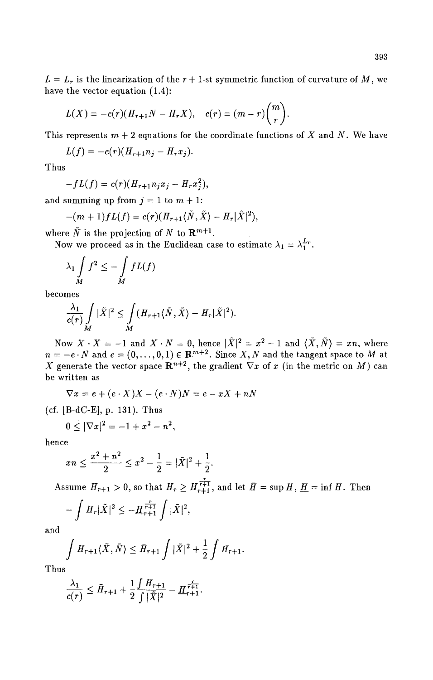$L = L_r$  is the linearization of the  $r + 1$ -st symmetric function of curvature of M, we have the vector equation (1.4):

$$
L(X) = -c(r)(H_{r+1}N - H_rX),
$$
  $c(r) = (m-r)\binom{m}{r}.$ 

This represents  $m + 2$  equations for the coordinate functions of X and N. We have

$$
L(f) = -c(r)(H_{r+1}n_j - H_rx_j).
$$

Thus

$$
-fL(f) = c(r)(H_{r+1}n_jx_j - H_rx_j^2),
$$

and summing up from  $j = 1$  to  $m + 1$ :

$$
-(m+1)fL(f) = c(r)(H_{r+1}\langle \tilde{N}, \tilde{X}\rangle - H_r|\tilde{X}|^2),
$$

where  $\tilde{N}$  is the projection of N to  $\mathbf{R}^{m+1}$ .

Now we proceed as in the Euclidean case to estimate  $\lambda_1 = \lambda_1^{L_r}$ .

$$
\lambda_1 \int\limits_M f^2 \leq - \int\limits_M fL(f)
$$

becomes

$$
\frac{\lambda_1}{c(r)}\int\limits_M|\tilde{X}|^2\leq \int\limits_M(H_{r+1}\langle\tilde{N},\tilde{X}\rangle-H_r|\tilde{X}|^2).
$$

Now  $X \cdot X = -1$  and  $X \cdot N = 0$ , hence  $|\tilde{X}|^2 = x^2 - 1$  and  $\langle \tilde{X}, \tilde{N} \rangle = xn$ , where  $n = -e \cdot N$  and  $e = (0, \ldots, 0, 1) \in \mathbb{R}^{m+2}$ . Since X, N and the tangent space to M at X generate the vector space  $\mathbb{R}^{n+2}$ , the gradient  $\nabla x$  of x (in the metric on M) can be written as

$$
\nabla x = e + (e \cdot X)X - (e \cdot N)N = e - xX + nN
$$

(cf. [B-dC-E], p. 131). Thus

$$
0 \le |\nabla x|^2 = -1 + x^2 - n^2,
$$

hence

$$
xn \le \frac{x^2 + n^2}{2} \le x^2 - \frac{1}{2} = |\tilde{X}|^2 + \frac{1}{2}.
$$

Assume  $H_{r+1} > 0$ , so that  $H_r \ge H_{r+1}^{\frac{r}{r+1}}$ , and let  $\bar{H} = \sup H, \underline{H} = \inf H$ . Then

$$
-\int H_r|\tilde{X}|^2 \le -\underline{H}_{r+1}^{\frac{r}{r+1}}\int |\tilde{X}|^2,
$$

and

$$
\int H_{r+1}\langle \tilde{X}, \tilde{N}\rangle \leq \bar{H}_{r+1} \int |\tilde{X}|^2 + \frac{1}{2} \int H_{r+1}.
$$

Thus

$$
\frac{\lambda_1}{c(r)} \leq \bar{H}_{r+1} + \frac{1}{2} \frac{\int H_{r+1}}{\int |\tilde{X}|^2} - \frac{r}{H_{r+1}} \frac{r}{r+1}.
$$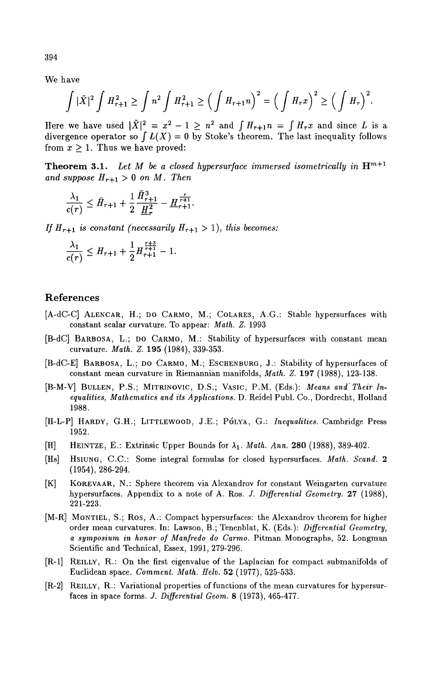We have

$$
\int |\tilde{X}|^2 \int H_{r+1}^2 \ge \int n^2 \int H_{r+1}^2 \ge \Big(\int H_{r+1} n \Big)^2 = \Big(\int H_r x \Big)^2 \ge \Big(\int H_r \Big)^2.
$$

Here we have used  $|\tilde{X}|^2 = x^2 - 1 \ge n^2$  and  $\int H_{r+1}n = \int H_r x$  and since L is a divergence operator so  $\int L(X) = 0$  by Stoke's theorem. The last inequality follows from  $x > 1$ . Thus we have proved:

**Theorem 3.1.** Let M be a closed hypersurface immersed isometrically in  $\mathbf{H}^{m+1}$ and suppose  $H_{r+1} > 0$  on M. Then

$$
\frac{\lambda_1}{c(r)} \leq \bar{H}_{r+1} + \frac{1}{2} \frac{\bar{H}_{r+1}^3}{\underline{H}_r^2} - \underline{H}_{r+1}^{\frac{r}{r+1}}.
$$

If  $H_{r+1}$  *is constant (necessarily*  $H_{r+1} > 1$ ), *this becomes:* 

$$
\frac{\lambda_1}{c(r)} \leq H_{r+1} + \frac{1}{2} H_{r+1}^{\frac{r+3}{r+1}} - 1.
$$

## References

- [A-dC-C] ALENCAR, H.; DO CARMO, M.; COLARES, A.G.: Stable hypersurfaces with constant scalar curvature. To appear: *Math. Z.* 1993
- [B-dC] BARBOSA, L.; DO CARMO, M.: Stability of hypersurfaces with constant mean curvature. *Math. Z.* 195 (1984), 339-353.
- [B-dC-E] BARBOSA, L.; DO CARMO, M.; ESCHENBURG, J.: Stability of hypersurfaces of constant mean curvature in Riemannian manifolds, *Math. Z.* 197 (1988), 123-138.
- [B-M-V] BULLEN, P.S.; MITRINOVIC, D.S.; VASIC, P.M. (Eds.): *Means and Their Inequalities, Mathematics and its Applications.* D. Reidel Publ. Co., Dordrecht, Holland 1988.
- [H-L-P] HARDY, G.H.; LITTLEWOOD, J.E.; POLYA, G.: *Inequalities.* Cambridge Press 1952.
- **[H] HEINTZE, E.:** Extrinsic Upper Bounds for A1. *Math. Ann.* 280 (1988), 389-402.
- [Hs] HSIUNG, C.C.: Some integral formulas for closed hypersurfaees. *Math. Scand. 2*  (1954), 286-294.
- [K] KOREVAAR, N.: Sphere theorem via Alexandrov for constant Weingarten curvature hypersurfaces. Appendix to a note of A. Ros. *J. Differential Geometry.* 27 (1988), 221-223.
- [M-R] MONTIEL, S.; Ros, A.: Compact hypersurfaces: the Alexandrov theorem for higher order mean curvatures. In: Lawson, B.; Tenenblat, K. (Eds.): *Differential Geometry, a symposium in honor of Manfredo do Carmo.* Pitman Monographs, 52. Longman Scientific and Technical, Essex, 1991, 279-296.
- [R-l] REILLY, R.: On the first eigenvalue of the Laplaeian for compact submanifolds of Euclidean space. *Comment. Math. Helv.* 52 (1977), 525-533.
- [R-2] REILLY, R.: Variational properties of functions of the mean curvatures for hypersurfaces in space forms. J. *Differential Geom.* 8 (1973), 465-477.

394